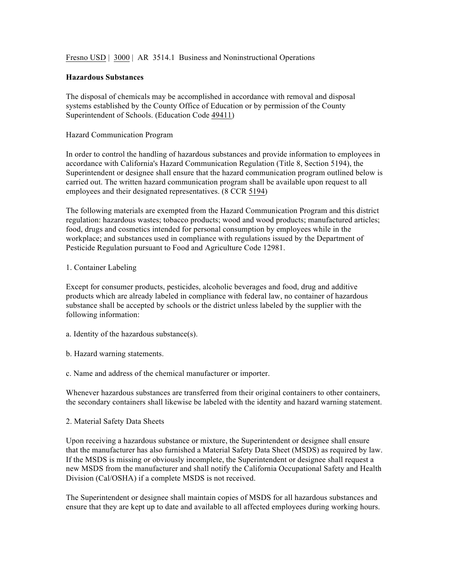Fresno USD | 3000 | AR 3514.1 Business and Noninstructional Operations

## **Hazardous Substances**

The disposal of chemicals may be accomplished in accordance with removal and disposal systems established by the County Office of Education or by permission of the County Superintendent of Schools. (Education Code 49411)

Hazard Communication Program

In order to control the handling of hazardous substances and provide information to employees in accordance with California's Hazard Communication Regulation (Title 8, Section 5194), the Superintendent or designee shall ensure that the hazard communication program outlined below is carried out. The written hazard communication program shall be available upon request to all employees and their designated representatives. (8 CCR 5194)

The following materials are exempted from the Hazard Communication Program and this district regulation: hazardous wastes; tobacco products; wood and wood products; manufactured articles; food, drugs and cosmetics intended for personal consumption by employees while in the workplace; and substances used in compliance with regulations issued by the Department of Pesticide Regulation pursuant to Food and Agriculture Code 12981.

## 1. Container Labeling

Except for consumer products, pesticides, alcoholic beverages and food, drug and additive products which are already labeled in compliance with federal law, no container of hazardous substance shall be accepted by schools or the district unless labeled by the supplier with the following information:

- a. Identity of the hazardous substance(s).
- b. Hazard warning statements.
- c. Name and address of the chemical manufacturer or importer.

Whenever hazardous substances are transferred from their original containers to other containers, the secondary containers shall likewise be labeled with the identity and hazard warning statement.

2. Material Safety Data Sheets

Upon receiving a hazardous substance or mixture, the Superintendent or designee shall ensure that the manufacturer has also furnished a Material Safety Data Sheet (MSDS) as required by law. If the MSDS is missing or obviously incomplete, the Superintendent or designee shall request a new MSDS from the manufacturer and shall notify the California Occupational Safety and Health Division (Cal/OSHA) if a complete MSDS is not received.

The Superintendent or designee shall maintain copies of MSDS for all hazardous substances and ensure that they are kept up to date and available to all affected employees during working hours.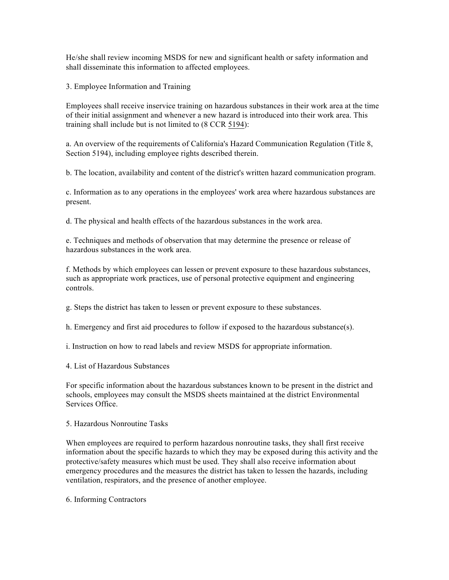He/she shall review incoming MSDS for new and significant health or safety information and shall disseminate this information to affected employees.

3. Employee Information and Training

Employees shall receive inservice training on hazardous substances in their work area at the time of their initial assignment and whenever a new hazard is introduced into their work area. This training shall include but is not limited to (8 CCR 5194):

a. An overview of the requirements of California's Hazard Communication Regulation (Title 8, Section 5194), including employee rights described therein.

b. The location, availability and content of the district's written hazard communication program.

c. Information as to any operations in the employees' work area where hazardous substances are present.

d. The physical and health effects of the hazardous substances in the work area.

e. Techniques and methods of observation that may determine the presence or release of hazardous substances in the work area.

f. Methods by which employees can lessen or prevent exposure to these hazardous substances, such as appropriate work practices, use of personal protective equipment and engineering controls.

g. Steps the district has taken to lessen or prevent exposure to these substances.

h. Emergency and first aid procedures to follow if exposed to the hazardous substance(s).

i. Instruction on how to read labels and review MSDS for appropriate information.

4. List of Hazardous Substances

For specific information about the hazardous substances known to be present in the district and schools, employees may consult the MSDS sheets maintained at the district Environmental Services Office.

5. Hazardous Nonroutine Tasks

When employees are required to perform hazardous nonroutine tasks, they shall first receive information about the specific hazards to which they may be exposed during this activity and the protective/safety measures which must be used. They shall also receive information about emergency procedures and the measures the district has taken to lessen the hazards, including ventilation, respirators, and the presence of another employee.

6. Informing Contractors